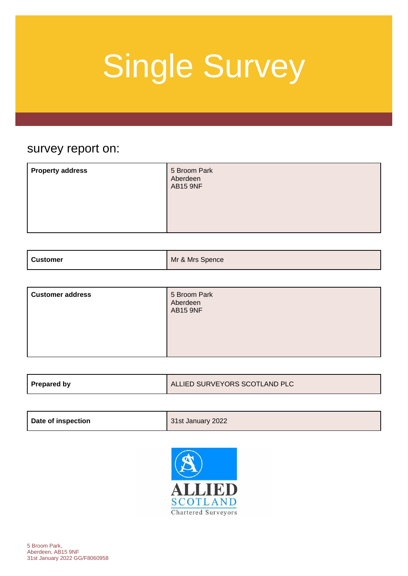### survey report on:

| <b>Property address</b><br>5 Broom Park<br>Aberdeen<br><b>AB15 9NF</b> |  |
|------------------------------------------------------------------------|--|
|------------------------------------------------------------------------|--|

| <b>Customer</b> | Mr & Mrs Spence |
|-----------------|-----------------|
|                 |                 |

| <b>Customer address</b> | 5 Broom Park<br>Aberdeen<br><b>AB15 9NF</b> |
|-------------------------|---------------------------------------------|
|-------------------------|---------------------------------------------|

| Prepared by | ALLIED SURVEYORS SCOTLAND PLC |
|-------------|-------------------------------|
|             |                               |

| Date of inspection | 31st January 2022 |
|--------------------|-------------------|
|--------------------|-------------------|

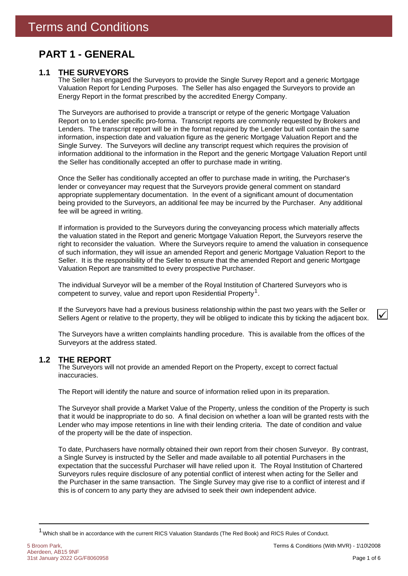### **PART 1 - GENERAL**

### **1.1 THE SURVEYORS**

The Seller has engaged the Surveyors to provide the Single Survey Report and a generic Mortgage Valuation Report for Lending Purposes. The Seller has also engaged the Surveyors to provide an Energy Report in the format prescribed by the accredited Energy Company.

The Surveyors are authorised to provide a transcript or retype of the generic Mortgage Valuation Report on to Lender specific pro-forma. Transcript reports are commonly requested by Brokers and Lenders. The transcript report will be in the format required by the Lender but will contain the same information, inspection date and valuation figure as the generic Mortgage Valuation Report and the Single Survey. The Surveyors will decline any transcript request which requires the provision of information additional to the information in the Report and the generic Mortgage Valuation Report until the Seller has conditionally accepted an offer to purchase made in writing.

Once the Seller has conditionally accepted an offer to purchase made in writing, the Purchaser's lender or conveyancer may request that the Surveyors provide general comment on standard appropriate supplementary documentation. In the event of a significant amount of documentation being provided to the Surveyors, an additional fee may be incurred by the Purchaser. Any additional fee will be agreed in writing.

If information is provided to the Surveyors during the conveyancing process which materially affects the valuation stated in the Report and generic Mortgage Valuation Report, the Surveyors reserve the right to reconsider the valuation. Where the Surveyors require to amend the valuation in consequence of such information, they will issue an amended Report and generic Mortgage Valuation Report to the Seller. It is the responsibility of the Seller to ensure that the amended Report and generic Mortgage Valuation Report are transmitted to every prospective Purchaser.

competent to survey, value and report upon Residential Property<sup>1</sup>. The individual Surveyor will be a member of the Royal Institution of Chartered Surveyors who is

If the Surveyors have had a previous business relationship within the past two years with the Seller or Sellers Agent or relative to the property, they will be obliged to indicate this by ticking the adjacent box.

The Surveyors have a written complaints handling procedure. This is available from the offices of the Surveyors at the address stated.

#### **THE REPORT 1.2**

The Surveyors will not provide an amended Report on the Property, except to correct factual inaccuracies.

The Report will identify the nature and source of information relied upon in its preparation.

The Surveyor shall provide a Market Value of the Property, unless the condition of the Property is such that it would be inappropriate to do so. A final decision on whether a loan will be granted rests with the Lender who may impose retentions in line with their lending criteria. The date of condition and value of the property will be the date of inspection.

To date, Purchasers have normally obtained their own report from their chosen Surveyor. By contrast, a Single Survey is instructed by the Seller and made available to all potential Purchasers in the expectation that the successful Purchaser will have relied upon it. The Royal Institution of Chartered Surveyors rules require disclosure of any potential conflict of interest when acting for the Seller and the Purchaser in the same transaction. The Single Survey may give rise to a conflict of interest and if this is of concern to any party they are advised to seek their own independent advice.

 $\checkmark$ 

<sup>&</sup>lt;sup>1</sup> Which shall be in accordance with the current RICS Valuation Standards (The Red Book) and RICS Rules of Conduct.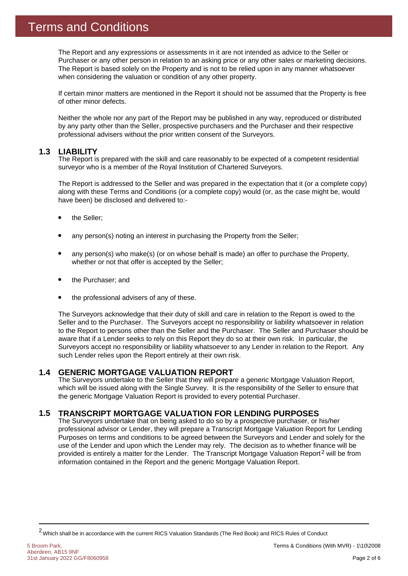The Report and any expressions or assessments in it are not intended as advice to the Seller or Purchaser or any other person in relation to an asking price or any other sales or marketing decisions. The Report is based solely on the Property and is not to be relied upon in any manner whatsoever when considering the valuation or condition of any other property.

If certain minor matters are mentioned in the Report it should not be assumed that the Property is free of other minor defects.

Neither the whole nor any part of the Report may be published in any way, reproduced or distributed by any party other than the Seller, prospective purchasers and the Purchaser and their respective professional advisers without the prior written consent of the Surveyors.

#### **1.3 LIABILITY**

The Report is prepared with the skill and care reasonably to be expected of a competent residential surveyor who is a member of the Royal Institution of Chartered Surveyors.

The Report is addressed to the Seller and was prepared in the expectation that it (or a complete copy) along with these Terms and Conditions (or a complete copy) would (or, as the case might be, would have been) be disclosed and delivered to:-

- the Seller;
- any person(s) noting an interest in purchasing the Property from the Seller;
- any person(s) who make(s) (or on whose behalf is made) an offer to purchase the Property, whether or not that offer is accepted by the Seller;
- the Purchaser; and
- the professional advisers of any of these.

The Surveyors acknowledge that their duty of skill and care in relation to the Report is owed to the Seller and to the Purchaser. The Surveyors accept no responsibility or liability whatsoever in relation to the Report to persons other than the Seller and the Purchaser. The Seller and Purchaser should be aware that if a Lender seeks to rely on this Report they do so at their own risk. In particular, the Surveyors accept no responsibility or liability whatsoever to any Lender in relation to the Report. Any such Lender relies upon the Report entirely at their own risk.

#### **GENERIC MORTGAGE VALUATION REPORT 1.4**

The Surveyors undertake to the Seller that they will prepare a generic Mortgage Valuation Report, which will be issued along with the Single Survey. It is the responsibility of the Seller to ensure that the generic Mortgage Valuation Report is provided to every potential Purchaser.

#### **TRANSCRIPT MORTGAGE VALUATION FOR LENDING PURPOSES 1.5**

provided is entirely a matter for the Lender. The Transcript Mortgage Valuation Report<sup>2</sup> will be from The Surveyors undertake that on being asked to do so by a prospective purchaser, or his/her professional advisor or Lender, they will prepare a Transcript Mortgage Valuation Report for Lending Purposes on terms and conditions to be agreed between the Surveyors and Lender and solely for the use of the Lender and upon which the Lender may rely. The decision as to whether finance will be information contained in the Report and the generic Mortgage Valuation Report.

<sup>2</sup>Which shall be in accordance with the current RICS Valuation Standards (The Red Book) and RICS Rules of Conduct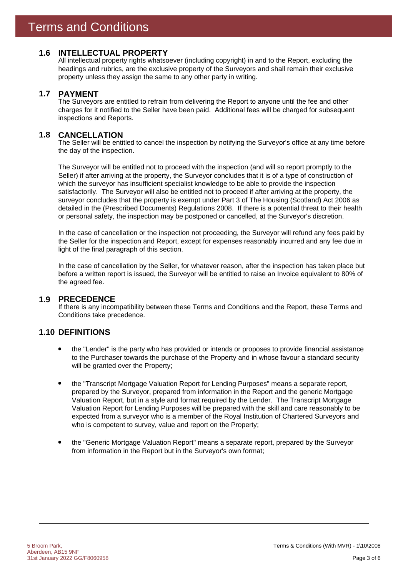### **1.6 INTELLECTUAL PROPERTY**

All intellectual property rights whatsoever (including copyright) in and to the Report, excluding the headings and rubrics, are the exclusive property of the Surveyors and shall remain their exclusive property unless they assign the same to any other party in writing.

#### **PAYMENT 1.7**

The Surveyors are entitled to refrain from delivering the Report to anyone until the fee and other charges for it notified to the Seller have been paid. Additional fees will be charged for subsequent inspections and Reports.

#### **CANCELLATION 1.8**

The Seller will be entitled to cancel the inspection by notifying the Surveyor's office at any time before the day of the inspection.

The Surveyor will be entitled not to proceed with the inspection (and will so report promptly to the Seller) if after arriving at the property, the Surveyor concludes that it is of a type of construction of which the surveyor has insufficient specialist knowledge to be able to provide the inspection satisfactorily. The Surveyor will also be entitled not to proceed if after arriving at the property, the surveyor concludes that the property is exempt under Part 3 of The Housing (Scotland) Act 2006 as detailed in the (Prescribed Documents) Regulations 2008. If there is a potential threat to their health or personal safety, the inspection may be postponed or cancelled, at the Surveyor's discretion.

In the case of cancellation or the inspection not proceeding, the Surveyor will refund any fees paid by the Seller for the inspection and Report, except for expenses reasonably incurred and any fee due in light of the final paragraph of this section.

In the case of cancellation by the Seller, for whatever reason, after the inspection has taken place but before a written report is issued, the Surveyor will be entitled to raise an Invoice equivalent to 80% of the agreed fee.

### **PRECEDENCE 1.9**

If there is any incompatibility between these Terms and Conditions and the Report, these Terms and Conditions take precedence.

### **1.10 DEFINITIONS**

- the "Lender" is the party who has provided or intends or proposes to provide financial assistance to the Purchaser towards the purchase of the Property and in whose favour a standard security will be granted over the Property;
- the "Transcript Mortgage Valuation Report for Lending Purposes" means a separate report, prepared by the Surveyor, prepared from information in the Report and the generic Mortgage Valuation Report, but in a style and format required by the Lender. The Transcript Mortgage Valuation Report for Lending Purposes will be prepared with the skill and care reasonably to be expected from a surveyor who is a member of the Royal Institution of Chartered Surveyors and who is competent to survey, value and report on the Property;
- the "Generic Mortgage Valuation Report" means a separate report, prepared by the Surveyor from information in the Report but in the Surveyor's own format;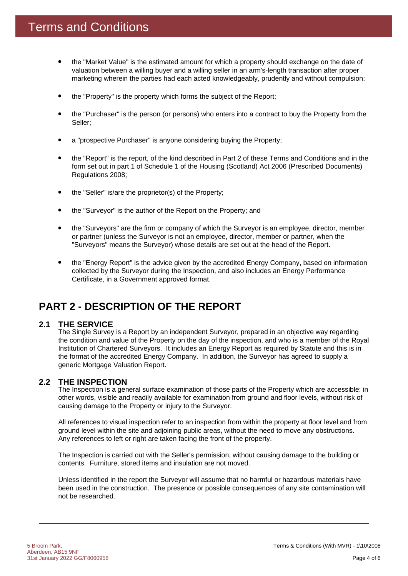- the "Market Value" is the estimated amount for which a property should exchange on the date of valuation between a willing buyer and a willing seller in an arm's-length transaction after proper marketing wherein the parties had each acted knowledgeably, prudently and without compulsion;
- the "Property" is the property which forms the subject of the Report;
- the "Purchaser" is the person (or persons) who enters into a contract to buy the Property from the Seller;
- a "prospective Purchaser" is anyone considering buying the Property;
- the "Report" is the report, of the kind described in Part 2 of these Terms and Conditions and in the form set out in part 1 of Schedule 1 of the Housing (Scotland) Act 2006 (Prescribed Documents) Regulations 2008;
- the "Seller" is/are the proprietor(s) of the Property;
- the "Surveyor" is the author of the Report on the Property; and
- the "Surveyors" are the firm or company of which the Surveyor is an employee, director, member or partner (unless the Surveyor is not an employee, director, member or partner, when the "Surveyors" means the Surveyor) whose details are set out at the head of the Report.
- the "Energy Report" is the advice given by the accredited Energy Company, based on information collected by the Surveyor during the Inspection, and also includes an Energy Performance Certificate, in a Government approved format.

### **PART 2 - DESCRIPTION OF THE REPORT**

#### **THE SERVICE 2.1**

The Single Survey is a Report by an independent Surveyor, prepared in an objective way regarding the condition and value of the Property on the day of the inspection, and who is a member of the Royal Institution of Chartered Surveyors. It includes an Energy Report as required by Statute and this is in the format of the accredited Energy Company. In addition, the Surveyor has agreed to supply a generic Mortgage Valuation Report.

### **THE INSPECTION 2.2**

The Inspection is a general surface examination of those parts of the Property which are accessible: in other words, visible and readily available for examination from ground and floor levels, without risk of causing damage to the Property or injury to the Surveyor.

All references to visual inspection refer to an inspection from within the property at floor level and from ground level within the site and adjoining public areas, without the need to move any obstructions. Any references to left or right are taken facing the front of the property.

The Inspection is carried out with the Seller's permission, without causing damage to the building or contents. Furniture, stored items and insulation are not moved.

Unless identified in the report the Surveyor will assume that no harmful or hazardous materials have been used in the construction. The presence or possible consequences of any site contamination will not be researched.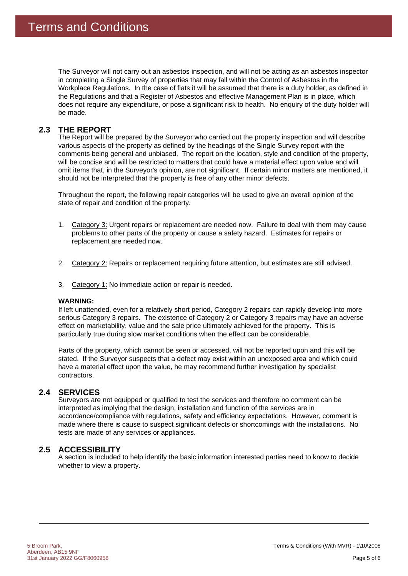The Surveyor will not carry out an asbestos inspection, and will not be acting as an asbestos inspector in completing a Single Survey of properties that may fall within the Control of Asbestos in the Workplace Regulations. In the case of flats it will be assumed that there is a duty holder, as defined in the Regulations and that a Register of Asbestos and effective Management Plan is in place, which does not require any expenditure, or pose a significant risk to health. No enquiry of the duty holder will be made.

#### **THE REPORT 2.3**

The Report will be prepared by the Surveyor who carried out the property inspection and will describe various aspects of the property as defined by the headings of the Single Survey report with the comments being general and unbiased. The report on the location, style and condition of the property, will be concise and will be restricted to matters that could have a material effect upon value and will omit items that, in the Surveyor's opinion, are not significant. If certain minor matters are mentioned, it should not be interpreted that the property is free of any other minor defects.

Throughout the report, the following repair categories will be used to give an overall opinion of the state of repair and condition of the property.

- 1. Category 3: Urgent repairs or replacement are needed now. Failure to deal with them may cause problems to other parts of the property or cause a safety hazard. Estimates for repairs or replacement are needed now.
- 2. Category 2: Repairs or replacement requiring future attention, but estimates are still advised.
- 3. Category 1: No immediate action or repair is needed.

### **WARNING:**

If left unattended, even for a relatively short period, Category 2 repairs can rapidly develop into more serious Category 3 repairs. The existence of Category 2 or Category 3 repairs may have an adverse effect on marketability, value and the sale price ultimately achieved for the property. This is particularly true during slow market conditions when the effect can be considerable.

Parts of the property, which cannot be seen or accessed, will not be reported upon and this will be stated. If the Surveyor suspects that a defect may exist within an unexposed area and which could have a material effect upon the value, he may recommend further investigation by specialist contractors.

### 2.4 SERVICES

Surveyors are not equipped or qualified to test the services and therefore no comment can be interpreted as implying that the design, installation and function of the services are in accordance/compliance with regulations, safety and efficiency expectations. However, comment is made where there is cause to suspect significant defects or shortcomings with the installations. No tests are made of any services or appliances.

### **ACCESSIBILITY 2.5**

A section is included to help identify the basic information interested parties need to know to decide whether to view a property.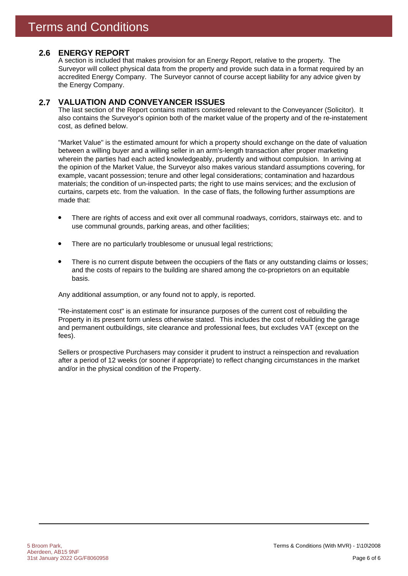### **ENERGY REPORT 2.6**

A section is included that makes provision for an Energy Report, relative to the property. The Surveyor will collect physical data from the property and provide such data in a format required by an accredited Energy Company. The Surveyor cannot of course accept liability for any advice given by the Energy Company.

#### **VALUATION AND CONVEYANCER ISSUES 2.7**

The last section of the Report contains matters considered relevant to the Conveyancer (Solicitor). It also contains the Surveyor's opinion both of the market value of the property and of the re-instatement cost, as defined below.

"Market Value" is the estimated amount for which a property should exchange on the date of valuation between a willing buyer and a willing seller in an arm's-length transaction after proper marketing wherein the parties had each acted knowledgeably, prudently and without compulsion. In arriving at the opinion of the Market Value, the Surveyor also makes various standard assumptions covering, for example, vacant possession; tenure and other legal considerations; contamination and hazardous materials; the condition of un-inspected parts; the right to use mains services; and the exclusion of curtains, carpets etc. from the valuation. In the case of flats, the following further assumptions are made that:

- There are rights of access and exit over all communal roadways, corridors, stairways etc. and to use communal grounds, parking areas, and other facilities;
- There are no particularly troublesome or unusual legal restrictions;
- There is no current dispute between the occupiers of the flats or any outstanding claims or losses; and the costs of repairs to the building are shared among the co-proprietors on an equitable basis.

Any additional assumption, or any found not to apply, is reported.

"Re-instatement cost" is an estimate for insurance purposes of the current cost of rebuilding the Property in its present form unless otherwise stated. This includes the cost of rebuilding the garage and permanent outbuildings, site clearance and professional fees, but excludes VAT (except on the fees).

Sellers or prospective Purchasers may consider it prudent to instruct a reinspection and revaluation after a period of 12 weeks (or sooner if appropriate) to reflect changing circumstances in the market and/or in the physical condition of the Property.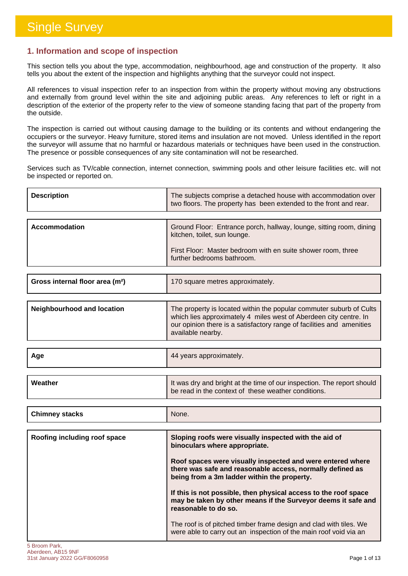### **1. Information and scope of inspection**

This section tells you about the type, accommodation, neighbourhood, age and construction of the property. It also tells you about the extent of the inspection and highlights anything that the surveyor could not inspect.

All references to visual inspection refer to an inspection from within the property without moving any obstructions and externally from ground level within the site and adjoining public areas. Any references to left or right in a description of the exterior of the property refer to the view of someone standing facing that part of the property from the outside.

The inspection is carried out without causing damage to the building or its contents and without endangering the occupiers or the surveyor. Heavy furniture, stored items and insulation are not moved. Unless identified in the report the surveyor will assume that no harmful or hazardous materials or techniques have been used in the construction. The presence or possible consequences of any site contamination will not be researched.

Services such as TV/cable connection, internet connection, swimming pools and other leisure facilities etc. will not be inspected or reported on.

| <b>Description</b> | The subjects comprise a detached house with accommodation over<br>two floors. The property has been extended to the front and rear.                                                               |
|--------------------|---------------------------------------------------------------------------------------------------------------------------------------------------------------------------------------------------|
|                    |                                                                                                                                                                                                   |
| Accommodation      | Ground Floor: Entrance porch, hallway, lounge, sitting room, dining<br>kitchen, toilet, sun lounge.<br>First Floor: Master bedroom with en suite shower room, three<br>further bedrooms bathroom. |

| Gross internal floor area (m <sup>2</sup> ) | 170 square metres approximately.                                                                                                                                                                                                       |
|---------------------------------------------|----------------------------------------------------------------------------------------------------------------------------------------------------------------------------------------------------------------------------------------|
|                                             |                                                                                                                                                                                                                                        |
| <b>Neighbourhood and location</b>           | The property is located within the popular commuter suburb of Cults<br>which lies approximately 4 miles west of Aberdeen city centre. In<br>our opinion there is a satisfactory range of facilities and amenities<br>available nearby. |

| Age     | 44 years approximately.                                                                                                       |
|---------|-------------------------------------------------------------------------------------------------------------------------------|
| Weather | It was dry and bright at the time of our inspection. The report should<br>be read in the context of these weather conditions. |

| <b>Chimney stacks</b>        | None.                                                                                                                                                                  |
|------------------------------|------------------------------------------------------------------------------------------------------------------------------------------------------------------------|
|                              |                                                                                                                                                                        |
| Roofing including roof space | Sloping roofs were visually inspected with the aid of<br>binoculars where appropriate.                                                                                 |
|                              | Roof spaces were visually inspected and were entered where<br>there was safe and reasonable access, normally defined as<br>being from a 3m ladder within the property. |
|                              | If this is not possible, then physical access to the roof space<br>may be taken by other means if the Surveyor deems it safe and                                       |

**reasonable to do so.**

The roof is of pitched timber frame design and clad with tiles. We were able to carry out an inspection of the main roof void via an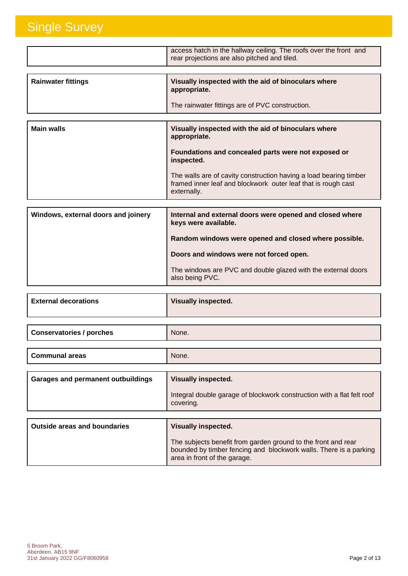|                                           | access hatch in the hallway ceiling. The roofs over the front and<br>rear projections are also pitched and tiled.                                 |
|-------------------------------------------|---------------------------------------------------------------------------------------------------------------------------------------------------|
|                                           |                                                                                                                                                   |
| <b>Rainwater fittings</b>                 | Visually inspected with the aid of binoculars where<br>appropriate.                                                                               |
|                                           | The rainwater fittings are of PVC construction.                                                                                                   |
|                                           |                                                                                                                                                   |
| <b>Main walls</b>                         | Visually inspected with the aid of binoculars where<br>appropriate.                                                                               |
|                                           | Foundations and concealed parts were not exposed or<br>inspected.                                                                                 |
|                                           | The walls are of cavity construction having a load bearing timber<br>framed inner leaf and blockwork outer leaf that is rough cast<br>externally. |
|                                           |                                                                                                                                                   |
| Windows, external doors and joinery       | Internal and external doors were opened and closed where<br>keys were available.                                                                  |
|                                           | Random windows were opened and closed where possible.                                                                                             |
|                                           | Doors and windows were not forced open.                                                                                                           |
|                                           | The windows are PVC and double glazed with the external doors<br>also being PVC.                                                                  |
|                                           |                                                                                                                                                   |
| <b>External decorations</b>               | <b>Visually inspected.</b>                                                                                                                        |
|                                           |                                                                                                                                                   |
| <b>Conservatories / porches</b>           | None.                                                                                                                                             |
|                                           |                                                                                                                                                   |
| <b>Communal areas</b>                     | None.                                                                                                                                             |
|                                           |                                                                                                                                                   |
| <b>Garages and permanent outbuildings</b> | Visually inspected.                                                                                                                               |
|                                           | Integral double garage of blockwork construction with a flat felt roof<br>covering.                                                               |
|                                           |                                                                                                                                                   |
|                                           |                                                                                                                                                   |

| <b>Outside areas and boundaries</b> | <b>Visually inspected.</b>                                                                                                                                         |
|-------------------------------------|--------------------------------------------------------------------------------------------------------------------------------------------------------------------|
|                                     | The subjects benefit from garden ground to the front and rear<br>bounded by timber fencing and blockwork walls. There is a parking<br>area in front of the garage. |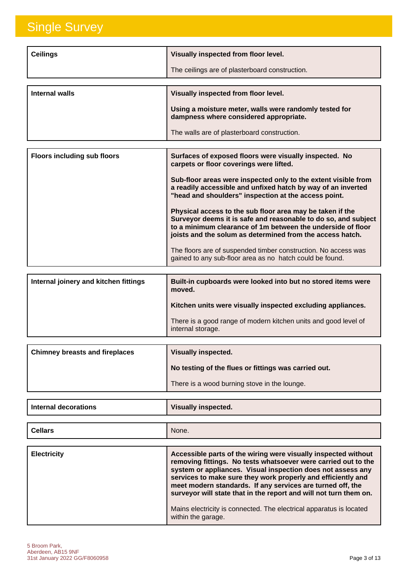| <b>Ceilings</b> | Visually inspected from floor level.                                                             |
|-----------------|--------------------------------------------------------------------------------------------------|
|                 | The ceilings are of plasterboard construction.                                                   |
|                 |                                                                                                  |
| Internal walls  | Visually inspected from floor level.                                                             |
|                 | Using a moisture meter, walls were randomly tested for<br>dampness where considered appropriate. |
|                 | The walls are of plasterboard construction.                                                      |

| <b>Floors including sub floors</b> | Surfaces of exposed floors were visually inspected. No<br>carpets or floor coverings were lifted.                                                                                                                                                       |
|------------------------------------|---------------------------------------------------------------------------------------------------------------------------------------------------------------------------------------------------------------------------------------------------------|
|                                    | Sub-floor areas were inspected only to the extent visible from<br>a readily accessible and unfixed hatch by way of an inverted<br>"head and shoulders" inspection at the access point.                                                                  |
|                                    | Physical access to the sub floor area may be taken if the<br>Surveyor deems it is safe and reasonable to do so, and subject<br>to a minimum clearance of 1m between the underside of floor<br>joists and the solum as determined from the access hatch. |
|                                    | The floors are of suspended timber construction. No access was<br>gained to any sub-floor area as no hatch could be found.                                                                                                                              |

| Internal joinery and kitchen fittings | Built-in cupboards were looked into but no stored items were<br>moved.               |
|---------------------------------------|--------------------------------------------------------------------------------------|
|                                       | Kitchen units were visually inspected excluding appliances.                          |
|                                       | There is a good range of modern kitchen units and good level of<br>internal storage. |

| <b>Chimney breasts and fireplaces</b> | <b>Visually inspected.</b>                           |
|---------------------------------------|------------------------------------------------------|
|                                       | No testing of the flues or fittings was carried out. |
|                                       | There is a wood burning stove in the lounge.         |

| Internal decorations | <b>Visually inspected.</b> |
|----------------------|----------------------------|
|                      |                            |
| <b>Cellars</b>       | None.                      |

| <b>Electricity</b> | Accessible parts of the wiring were visually inspected without<br>removing fittings. No tests whatsoever were carried out to the<br>system or appliances. Visual inspection does not assess any<br>services to make sure they work properly and efficiently and<br>meet modern standards. If any services are turned off, the<br>surveyor will state that in the report and will not turn them on. |
|--------------------|----------------------------------------------------------------------------------------------------------------------------------------------------------------------------------------------------------------------------------------------------------------------------------------------------------------------------------------------------------------------------------------------------|
|                    | Mains electricity is connected. The electrical apparatus is located<br>within the garage.                                                                                                                                                                                                                                                                                                          |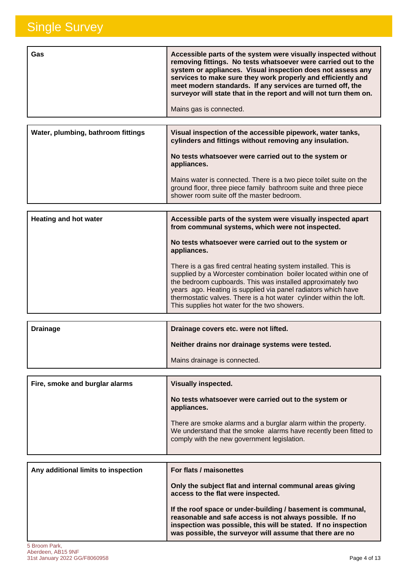| Gas | Accessible parts of the system were visually inspected without<br>removing fittings. No tests whatsoever were carried out to the<br>system or appliances. Visual inspection does not assess any<br>services to make sure they work properly and efficiently and<br>meet modern standards. If any services are turned off, the<br>surveyor will state that in the report and will not turn them on.<br>Mains gas is connected. |
|-----|-------------------------------------------------------------------------------------------------------------------------------------------------------------------------------------------------------------------------------------------------------------------------------------------------------------------------------------------------------------------------------------------------------------------------------|
|     |                                                                                                                                                                                                                                                                                                                                                                                                                               |

| Water, plumbing, bathroom fittings | Visual inspection of the accessible pipework, water tanks,<br>cylinders and fittings without removing any insulation.                                                              |
|------------------------------------|------------------------------------------------------------------------------------------------------------------------------------------------------------------------------------|
|                                    | No tests whatsoever were carried out to the system or<br>appliances.                                                                                                               |
|                                    | Mains water is connected. There is a two piece toilet suite on the<br>ground floor, three piece family bathroom suite and three piece<br>shower room suite off the master bedroom. |

| <b>Heating and hot water</b> | Accessible parts of the system were visually inspected apart<br>from communal systems, which were not inspected.                                                                                                                                                                                                                                                                          |
|------------------------------|-------------------------------------------------------------------------------------------------------------------------------------------------------------------------------------------------------------------------------------------------------------------------------------------------------------------------------------------------------------------------------------------|
|                              | No tests whatsoever were carried out to the system or<br>appliances.                                                                                                                                                                                                                                                                                                                      |
|                              | There is a gas fired central heating system installed. This is<br>supplied by a Worcester combination boiler located within one of<br>the bedroom cupboards. This was installed approximately two<br>years ago. Heating is supplied via panel radiators which have<br>thermostatic valves. There is a hot water cylinder within the loft.<br>This supplies hot water for the two showers. |

| <b>Drainage</b> | Drainage covers etc. were not lifted.            |
|-----------------|--------------------------------------------------|
|                 | Neither drains nor drainage systems were tested. |
|                 | Mains drainage is connected.                     |
|                 |                                                  |

| Fire, smoke and burglar alarms | <b>Visually inspected.</b>                                                                                                                                                         |
|--------------------------------|------------------------------------------------------------------------------------------------------------------------------------------------------------------------------------|
|                                | No tests whatsoever were carried out to the system or<br>appliances.                                                                                                               |
|                                | There are smoke alarms and a burglar alarm within the property.<br>We understand that the smoke alarms have recently been fitted to<br>comply with the new government legislation. |

| Any additional limits to inspection | For flats / maisonettes                                                                                                                                                                                                                               |
|-------------------------------------|-------------------------------------------------------------------------------------------------------------------------------------------------------------------------------------------------------------------------------------------------------|
|                                     | Only the subject flat and internal communal areas giving<br>access to the flat were inspected.                                                                                                                                                        |
|                                     | If the roof space or under-building / basement is communal,<br>reasonable and safe access is not always possible. If no<br>inspection was possible, this will be stated. If no inspection<br>was possible, the surveyor will assume that there are no |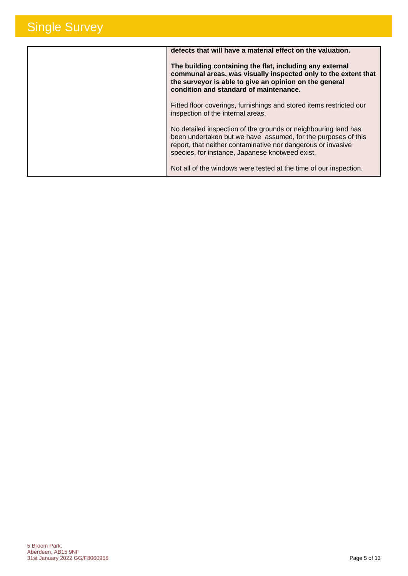| defects that will have a material effect on the valuation.<br>The building containing the flat, including any external<br>communal areas, was visually inspected only to the extent that<br>the surveyor is able to give an opinion on the general<br>condition and standard of maintenance. |
|----------------------------------------------------------------------------------------------------------------------------------------------------------------------------------------------------------------------------------------------------------------------------------------------|
| Fitted floor coverings, furnishings and stored items restricted our<br>inspection of the internal areas.                                                                                                                                                                                     |
| No detailed inspection of the grounds or neighbouring land has<br>been undertaken but we have assumed, for the purposes of this<br>report, that neither contaminative nor dangerous or invasive<br>species, for instance, Japanese knotweed exist.                                           |
| Not all of the windows were tested at the time of our inspection.                                                                                                                                                                                                                            |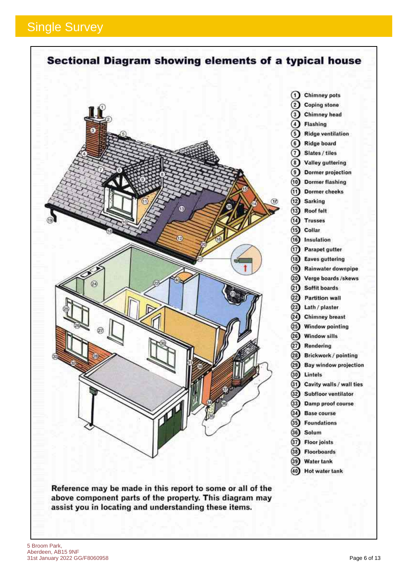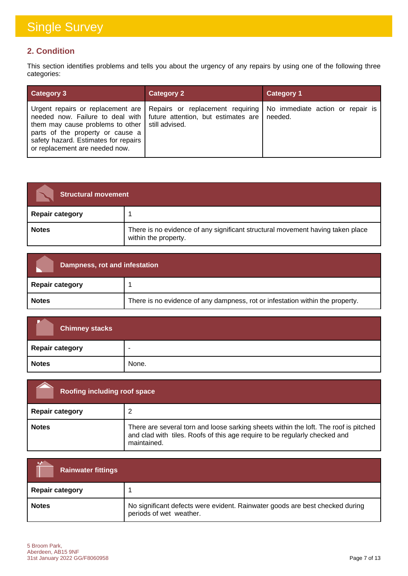### **2. Condition**

This section identifies problems and tells you about the urgency of any repairs by using one of the following three categories:

| <b>Category 3</b>                                                                                                                                                     | <b>Category 2</b>                                                                                                                                                                               | <b>Category 1</b> |
|-----------------------------------------------------------------------------------------------------------------------------------------------------------------------|-------------------------------------------------------------------------------------------------------------------------------------------------------------------------------------------------|-------------------|
| them may cause problems to other $\vert$ still advised.<br>parts of the property or cause a<br>safety hazard. Estimates for repairs<br>or replacement are needed now. | Urgent repairs or replacement are   Repairs or replacement requiring   No immediate action or repair is<br>needed now. Failure to deal with $\vert$ future attention, but estimates are $\vert$ | needed.           |

| <b>Structural movement</b> |                                                                                                        |
|----------------------------|--------------------------------------------------------------------------------------------------------|
| <b>Repair category</b>     |                                                                                                        |
| <b>Notes</b>               | There is no evidence of any significant structural movement having taken place<br>within the property. |

| Dampness, rot and infestation |                                                                               |
|-------------------------------|-------------------------------------------------------------------------------|
| <b>Repair category</b>        |                                                                               |
| <b>Notes</b>                  | There is no evidence of any dampness, rot or infestation within the property. |

| <b>Chimney stacks</b>  |       |
|------------------------|-------|
| <b>Repair category</b> | ٠     |
| <b>Notes</b>           | None. |

| Roofing including roof space |                                                                                                                                                                                   |
|------------------------------|-----------------------------------------------------------------------------------------------------------------------------------------------------------------------------------|
| <b>Repair category</b>       |                                                                                                                                                                                   |
| <b>Notes</b>                 | There are several torn and loose sarking sheets within the loft. The roof is pitched<br>and clad with tiles. Roofs of this age require to be regularly checked and<br>maintained. |

| <b>Rainwater fittings</b> |                                                                                                         |
|---------------------------|---------------------------------------------------------------------------------------------------------|
| <b>Repair category</b>    |                                                                                                         |
| <b>Notes</b>              | No significant defects were evident. Rainwater goods are best checked during<br>periods of wet weather. |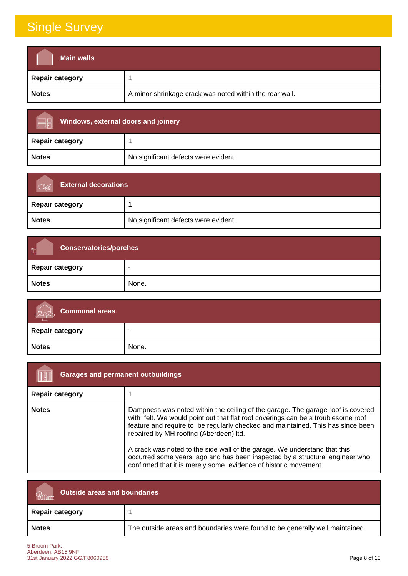| <b>Main walls</b>      |                                                         |
|------------------------|---------------------------------------------------------|
| <b>Repair category</b> |                                                         |
| <b>Notes</b>           | A minor shrinkage crack was noted within the rear wall. |

| <b>Windows, external doors and joinery</b> |                                      |
|--------------------------------------------|--------------------------------------|
| <b>Repair category</b>                     |                                      |
| <b>Notes</b>                               | No significant defects were evident. |

| <b>External decorations</b> |                                      |
|-----------------------------|--------------------------------------|
| Repair category             |                                      |
| <b>Notes</b>                | No significant defects were evident. |

| 画<br><b>Conservatories/porches</b> |       |
|------------------------------------|-------|
| Repair category                    | -     |
| <b>Notes</b>                       | None. |

| <b>Communal areas</b>  |       |
|------------------------|-------|
| <b>Repair category</b> | ۰     |
| <b>Notes</b>           | None. |

| <b>Garages and permanent outbuildings</b> |                                                                                                                                                                                                                                                                                                                                                                                                                                                                                                                                 |
|-------------------------------------------|---------------------------------------------------------------------------------------------------------------------------------------------------------------------------------------------------------------------------------------------------------------------------------------------------------------------------------------------------------------------------------------------------------------------------------------------------------------------------------------------------------------------------------|
| <b>Repair category</b>                    |                                                                                                                                                                                                                                                                                                                                                                                                                                                                                                                                 |
| <b>Notes</b>                              | Dampness was noted within the ceiling of the garage. The garage roof is covered<br>with felt. We would point out that flat roof coverings can be a troublesome roof<br>feature and require to be regularly checked and maintained. This has since been<br>repaired by MH roofing (Aberdeen) Itd.<br>A crack was noted to the side wall of the garage. We understand that this<br>occurred some years ago and has been inspected by a structural engineer who<br>confirmed that it is merely some evidence of historic movement. |

| <b>Outside areas and boundaries</b> |                                                                              |
|-------------------------------------|------------------------------------------------------------------------------|
| <b>Repair category</b>              |                                                                              |
| <b>Notes</b>                        | The outside areas and boundaries were found to be generally well maintained. |

5 Broom Park, Aberdeen, AB15 9NF 31st January 2022 GG/F8060958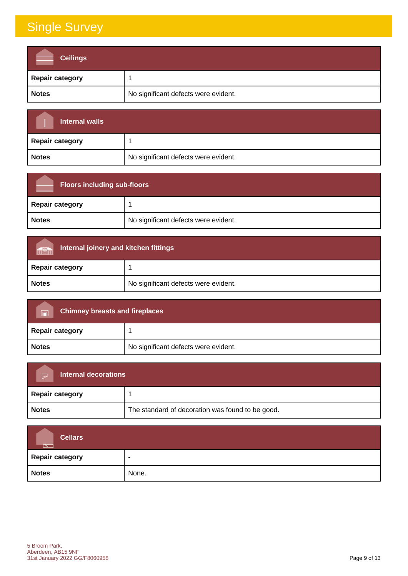| <b>Ceilings</b>        |                                      |
|------------------------|--------------------------------------|
| <b>Repair category</b> |                                      |
| <b>Notes</b>           | No significant defects were evident. |

| Internal walls         |                                      |
|------------------------|--------------------------------------|
| <b>Repair category</b> |                                      |
| <b>Notes</b>           | No significant defects were evident. |

| <b>Floors including sub-floors</b> |                                      |
|------------------------------------|--------------------------------------|
| <b>Repair category</b>             |                                      |
| <b>Notes</b>                       | No significant defects were evident. |

| <b>Internal joinery and kitchen fittings</b><br><b>THE M</b> |                                      |
|--------------------------------------------------------------|--------------------------------------|
| <b>Repair category</b>                                       |                                      |
| <b>Notes</b>                                                 | No significant defects were evident. |

| <b>Chimney breasts and fireplaces</b><br>$\blacksquare$ |                                      |
|---------------------------------------------------------|--------------------------------------|
| <b>Repair category</b>                                  |                                      |
| <b>Notes</b>                                            | No significant defects were evident. |

| Internal decorations<br>$\triangleright$ |                                                  |
|------------------------------------------|--------------------------------------------------|
| <b>Repair category</b>                   |                                                  |
| <b>Notes</b>                             | The standard of decoration was found to be good. |

| <b>Cellars</b><br>$\overline{\phantom{a}}$ |       |
|--------------------------------------------|-------|
| <b>Repair category</b>                     |       |
| <b>Notes</b>                               | None. |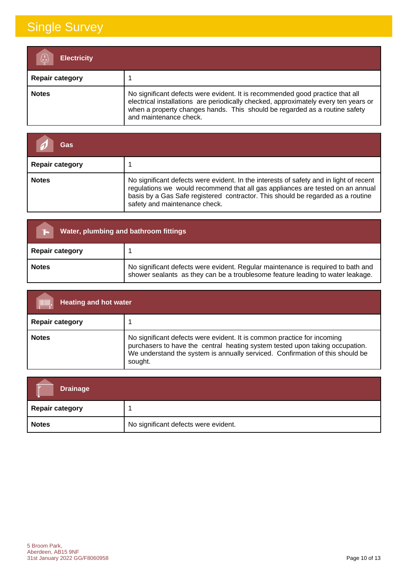| <b>Electricity</b>     |                                                                                                                                                                                                                                                                              |
|------------------------|------------------------------------------------------------------------------------------------------------------------------------------------------------------------------------------------------------------------------------------------------------------------------|
| <b>Repair category</b> |                                                                                                                                                                                                                                                                              |
| <b>Notes</b>           | No significant defects were evident. It is recommended good practice that all<br>electrical installations are periodically checked, approximately every ten years or<br>when a property changes hands. This should be regarded as a routine safety<br>and maintenance check. |

| Gas                    |                                                                                                                                                                                                                                                                                              |
|------------------------|----------------------------------------------------------------------------------------------------------------------------------------------------------------------------------------------------------------------------------------------------------------------------------------------|
| <b>Repair category</b> |                                                                                                                                                                                                                                                                                              |
| <b>Notes</b>           | No significant defects were evident. In the interests of safety and in light of recent<br>regulations we would recommend that all gas appliances are tested on an annual<br>basis by a Gas Safe registered contractor. This should be regarded as a routine<br>safety and maintenance check. |

| <b>Water, plumbing and bathroom fittings</b> |                                                                                                                                                                    |
|----------------------------------------------|--------------------------------------------------------------------------------------------------------------------------------------------------------------------|
| <b>Repair category</b>                       |                                                                                                                                                                    |
| <b>Notes</b>                                 | No significant defects were evident. Regular maintenance is required to bath and<br>shower sealants as they can be a troublesome feature leading to water leakage. |

| <b>Heating and hot water</b><br>(IIIIIIII), |                                                                                                                                                                                                                                                     |
|---------------------------------------------|-----------------------------------------------------------------------------------------------------------------------------------------------------------------------------------------------------------------------------------------------------|
| <b>Repair category</b>                      |                                                                                                                                                                                                                                                     |
| <b>Notes</b>                                | No significant defects were evident. It is common practice for incoming<br>purchasers to have the central heating system tested upon taking occupation.<br>We understand the system is annually serviced. Confirmation of this should be<br>sought. |

| <b>Drainage</b>        |                                      |
|------------------------|--------------------------------------|
| <b>Repair category</b> |                                      |
| <b>Notes</b>           | No significant defects were evident. |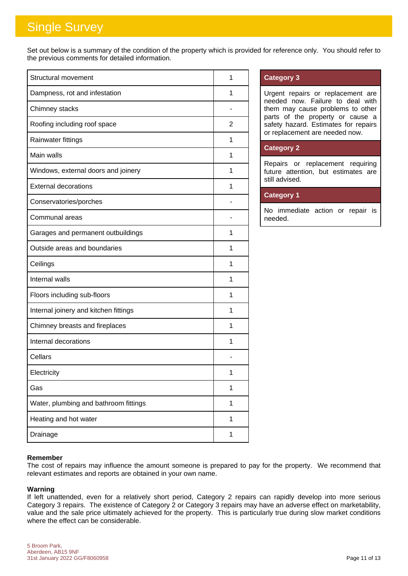Set out below is a summary of the condition of the property which is provided for reference only. You should refer to the previous comments for detailed information.

| <b>Structural movement</b>            | 1 |
|---------------------------------------|---|
| Dampness, rot and infestation         | 1 |
| Chimney stacks                        |   |
| Roofing including roof space          | 2 |
| Rainwater fittings                    | 1 |
| Main walls                            | 1 |
| Windows, external doors and joinery   | 1 |
| <b>External decorations</b>           | 1 |
| Conservatories/porches                |   |
| Communal areas                        |   |
| Garages and permanent outbuildings    | 1 |
| Outside areas and boundaries          | 1 |
| Ceilings                              | 1 |
| Internal walls                        | 1 |
| Floors including sub-floors           | 1 |
| Internal joinery and kitchen fittings | 1 |
| Chimney breasts and fireplaces        | 1 |
| Internal decorations                  | 1 |
| Cellars                               |   |
| Electricity                           | 1 |
| Gas                                   | 1 |
| Water, plumbing and bathroom fittings | 1 |
| Heating and hot water                 | 1 |
| Drainage                              | 1 |

### **Category 3**

Urgent repairs or replacement are needed now. Failure to deal with them may cause problems to other parts of the property or cause a safety hazard. Estimates for repairs or replacement are needed now.

### **Category 2**

Repairs or replacement requiring future attention, but estimates are still advised.

### **Category 1**

No immediate action or repair is needed.

### **Remember**

The cost of repairs may influence the amount someone is prepared to pay for the property. We recommend that relevant estimates and reports are obtained in your own name.

#### **Warning**

If left unattended, even for a relatively short period, Category 2 repairs can rapidly develop into more serious Category 3 repairs. The existence of Category 2 or Category 3 repairs may have an adverse effect on marketability, value and the sale price ultimately achieved for the property. This is particularly true during slow market conditions where the effect can be considerable.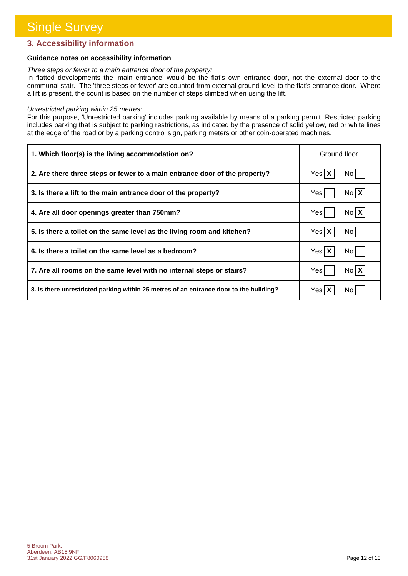### **3. Accessibility information**

### **Guidance notes on accessibility information**

#### *Three steps or fewer to a main entrance door of the property:*

In flatted developments the 'main entrance' would be the flat's own entrance door, not the external door to the communal stair. The 'three steps or fewer' are counted from external ground level to the flat's entrance door. Where a lift is present, the count is based on the number of steps climbed when using the lift.

#### *Unrestricted parking within 25 metres:*

For this purpose, 'Unrestricted parking' includes parking available by means of a parking permit. Restricted parking includes parking that is subject to parking restrictions, as indicated by the presence of solid yellow, red or white lines at the edge of the road or by a parking control sign, parking meters or other coin-operated machines.

| 1. Which floor(s) is the living accommodation on?                                      | Ground floor.      |  |
|----------------------------------------------------------------------------------------|--------------------|--|
| 2. Are there three steps or fewer to a main entrance door of the property?             | Yes X<br>No l      |  |
| 3. Is there a lift to the main entrance door of the property?                          | $N_0$ $X$<br>Yes   |  |
| 4. Are all door openings greater than 750mm?                                           | No <b>X</b><br>Yes |  |
| 5. Is there a toilet on the same level as the living room and kitchen?                 | Yes X<br>No l      |  |
| 6. Is there a toilet on the same level as a bedroom?                                   | Yes X<br>No l      |  |
| 7. Are all rooms on the same level with no internal steps or stairs?                   | $N_0$ $X$<br>Yes   |  |
| 8. Is there unrestricted parking within 25 metres of an entrance door to the building? | Yes   )<br>No l    |  |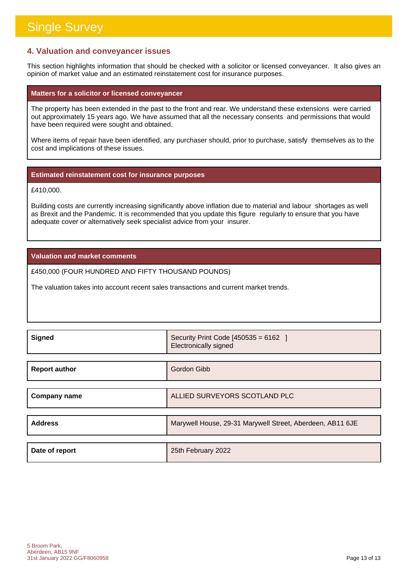### **4. Valuation and conveyancer issues**

This section highlights information that should be checked with a solicitor or licensed conveyancer. It also gives an opinion of market value and an estimated reinstatement cost for insurance purposes.

### **Matters for a solicitor or licensed conveyancer**

The property has been extended in the past to the front and rear. We understand these extensions were carried out approximately 15 years ago. We have assumed that all the necessary consents and permissions that would have been required were sought and obtained.

Where items of repair have been identified, any purchaser should, prior to purchase, satisfy themselves as to the cost and implications of these issues.

#### **Estimated reinstatement cost for insurance purposes**

£410,000.

Building costs are currently increasing significantly above inflation due to material and labour shortages as well as Brexit and the Pandemic. It is recommended that you update this figure regularly to ensure that you have adequate cover or alternatively seek specialist advice from your insurer.

### **Valuation and market comments**

£450,000 (FOUR HUNDRED AND FIFTY THOUSAND POUNDS)

The valuation takes into account recent sales transactions and current market trends.

| <b>Signed</b>        | Security Print Code [450535 = 6162 ]<br>Electronically signed |
|----------------------|---------------------------------------------------------------|
|                      |                                                               |
| <b>Report author</b> | Gordon Gibb                                                   |
|                      |                                                               |
| <b>Company name</b>  | ALLIED SURVEYORS SCOTLAND PLC                                 |
|                      |                                                               |
| <b>Address</b>       | Marywell House, 29-31 Marywell Street, Aberdeen, AB11 6JE     |
|                      |                                                               |
| Date of report       | 25th February 2022                                            |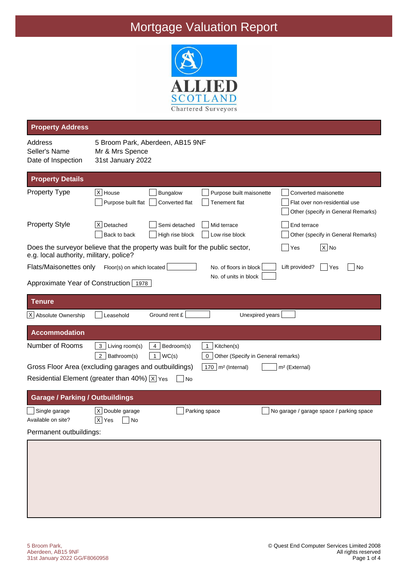

| <b>Property Address</b>                        |                                                                                                                                                                                                                |    |
|------------------------------------------------|----------------------------------------------------------------------------------------------------------------------------------------------------------------------------------------------------------------|----|
| Address<br>Seller's Name<br>Date of Inspection | 5 Broom Park, Aberdeen, AB15 9NF<br>Mr & Mrs Spence<br>31st January 2022                                                                                                                                       |    |
| <b>Property Details</b>                        |                                                                                                                                                                                                                |    |
| <b>Property Type</b>                           | X House<br>Bungalow<br>Purpose built maisonette<br>Converted maisonette<br>Purpose built flat<br>Converted flat<br><b>Tenement flat</b><br>Flat over non-residential use<br>Other (specify in General Remarks) |    |
| <b>Property Style</b>                          | X Detached<br>Semi detached<br>Mid terrace<br>End terrace<br>Back to back<br>High rise block<br>Low rise block<br>Other (specify in General Remarks)                                                           |    |
| e.g. local authority, military, police?        | Does the surveyor believe that the property was built for the public sector,<br>$\overline{X}$ No<br>Yes                                                                                                       |    |
| Flats/Maisonettes only                         | Floor(s) on which located<br>No. of floors in block<br>Lift provided?<br>Yes                                                                                                                                   | No |
| Approximate Year of Construction 1978          | No. of units in block                                                                                                                                                                                          |    |
| <b>Tenure</b>                                  |                                                                                                                                                                                                                |    |
| X Absolute Ownership                           | Ground rent £<br>Unexpired years<br>Leasehold                                                                                                                                                                  |    |
| <b>Accommodation</b>                           |                                                                                                                                                                                                                |    |
| Number of Rooms                                | $\vert$ Living room(s)<br>Bedroom(s)<br>Kitchen(s)<br>3<br>4<br>1<br>$\overline{2}$<br>Bathroom(s)<br>$\mathbf{1}$<br>WC(s)<br>Other (Specify in General remarks)<br>0                                         |    |
|                                                | Gross Floor Area (excluding garages and outbuildings)<br>$\boxed{170}$ m <sup>2</sup> (Internal)<br>m <sup>2</sup> (External)                                                                                  |    |
|                                                | Residential Element (greater than 40%) $ x $ Yes<br>No                                                                                                                                                         |    |
| <b>Garage / Parking / Outbuildings</b>         |                                                                                                                                                                                                                |    |
| Single garage<br>Available on site?            | $X$ Double garage<br>Parking space<br>No garage / garage space / parking space<br>$ \overline{X} $ Yes<br>No                                                                                                   |    |
| Permanent outbuildings:                        |                                                                                                                                                                                                                |    |
|                                                |                                                                                                                                                                                                                |    |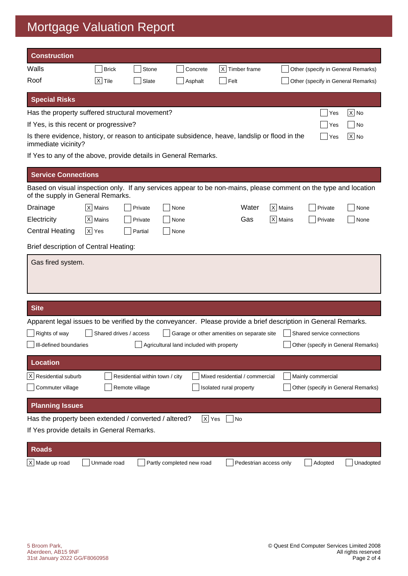| <b>Construction</b>                                                                                                                                   |                    |                                |                                          |                                            |                        |                                    |           |
|-------------------------------------------------------------------------------------------------------------------------------------------------------|--------------------|--------------------------------|------------------------------------------|--------------------------------------------|------------------------|------------------------------------|-----------|
| Walls                                                                                                                                                 | <b>Brick</b>       | Stone                          | Concrete                                 | Timber frame<br>$\times$                   |                        | Other (specify in General Remarks) |           |
| Roof                                                                                                                                                  | $X$ Tile           | Slate                          | Asphalt                                  | Felt                                       |                        | Other (specify in General Remarks) |           |
| <b>Special Risks</b>                                                                                                                                  |                    |                                |                                          |                                            |                        |                                    |           |
| Has the property suffered structural movement?                                                                                                        |                    |                                |                                          |                                            |                        | Yes                                | $ X $ No  |
| If Yes, is this recent or progressive?<br>Yes<br>∣No                                                                                                  |                    |                                |                                          |                                            |                        |                                    |           |
| Is there evidence, history, or reason to anticipate subsidence, heave, landslip or flood in the<br>immediate vicinity?                                |                    |                                |                                          |                                            |                        | Yes                                | $X$ No    |
| If Yes to any of the above, provide details in General Remarks.                                                                                       |                    |                                |                                          |                                            |                        |                                    |           |
| <b>Service Connections</b>                                                                                                                            |                    |                                |                                          |                                            |                        |                                    |           |
| Based on visual inspection only. If any services appear to be non-mains, please comment on the type and location<br>of the supply in General Remarks. |                    |                                |                                          |                                            |                        |                                    |           |
| Drainage                                                                                                                                              | $ X $ Mains        | Private                        | None                                     | Water                                      | X   Mains              | Private                            | None      |
| Electricity                                                                                                                                           | $ X $ Mains        | Private                        | None                                     | Gas                                        | $ X $ Mains            | Private                            | None      |
| <b>Central Heating</b>                                                                                                                                | $ \mathsf{X} $ Yes | Partial                        | None                                     |                                            |                        |                                    |           |
| Brief description of Central Heating:                                                                                                                 |                    |                                |                                          |                                            |                        |                                    |           |
| Gas fired system.                                                                                                                                     |                    |                                |                                          |                                            |                        |                                    |           |
| <b>Site</b>                                                                                                                                           |                    |                                |                                          |                                            |                        |                                    |           |
| Apparent legal issues to be verified by the conveyancer. Please provide a brief description in General Remarks.                                       |                    |                                |                                          |                                            |                        |                                    |           |
| Rights of way                                                                                                                                         |                    | Shared drives / access         |                                          | Garage or other amenities on separate site |                        | Shared service connections         |           |
| III-defined boundaries                                                                                                                                |                    |                                | Agricultural land included with property |                                            |                        | Other (specify in General Remarks) |           |
| <b>Location</b>                                                                                                                                       |                    |                                |                                          |                                            |                        |                                    |           |
| Residential suburb<br>X                                                                                                                               |                    | Residential within town / city |                                          | Mixed residential / commercial             |                        | Mainly commercial                  |           |
| Commuter village                                                                                                                                      |                    | Remote village                 |                                          | Isolated rural property                    |                        | Other (specify in General Remarks) |           |
| <b>Planning Issues</b>                                                                                                                                |                    |                                |                                          |                                            |                        |                                    |           |
| Has the property been extended / converted / altered?                                                                                                 |                    |                                |                                          | $X$ Yes<br>No                              |                        |                                    |           |
| If Yes provide details in General Remarks.                                                                                                            |                    |                                |                                          |                                            |                        |                                    |           |
| <b>Roads</b>                                                                                                                                          |                    |                                |                                          |                                            |                        |                                    |           |
| X Made up road                                                                                                                                        | Unmade road        |                                | Partly completed new road                |                                            | Pedestrian access only | Adopted                            | Unadopted |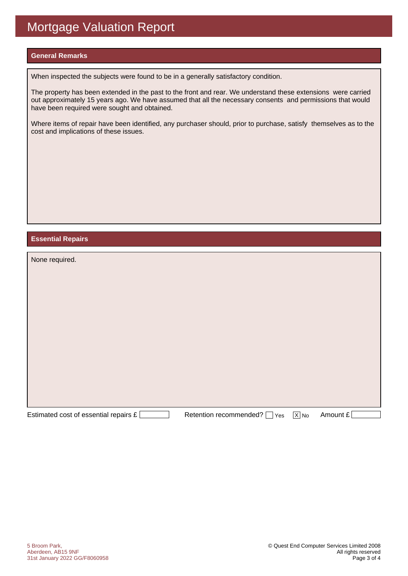### **General Remarks**

When inspected the subjects were found to be in a generally satisfactory condition.

The property has been extended in the past to the front and rear. We understand these extensions were carried out approximately 15 years ago. We have assumed that all the necessary consents and permissions that would have been required were sought and obtained.

Where items of repair have been identified, any purchaser should, prior to purchase, satisfy themselves as to the cost and implications of these issues.

### **Essential Repairs**

| None required.                        |                                 |                   |          |
|---------------------------------------|---------------------------------|-------------------|----------|
|                                       |                                 |                   |          |
|                                       |                                 |                   |          |
|                                       |                                 |                   |          |
|                                       |                                 |                   |          |
|                                       |                                 |                   |          |
|                                       |                                 |                   |          |
|                                       |                                 |                   |          |
|                                       |                                 |                   |          |
| Estimated cost of essential repairs £ | Retention recommended?  <br>Yes | $\overline{X}$ No | Amount £ |